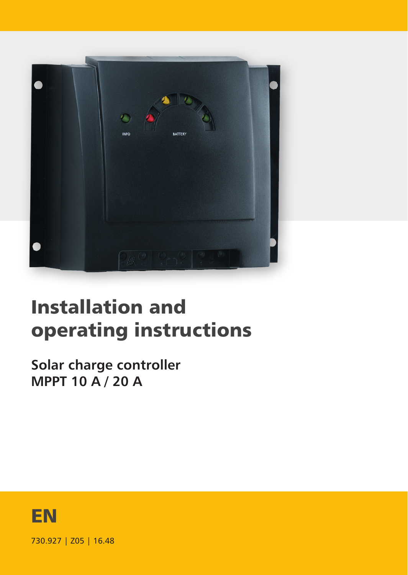

# Installation and operating instructions

**Solar charge controller MPPT 10 A / 20 A**



730.927 | Z05 | 16.48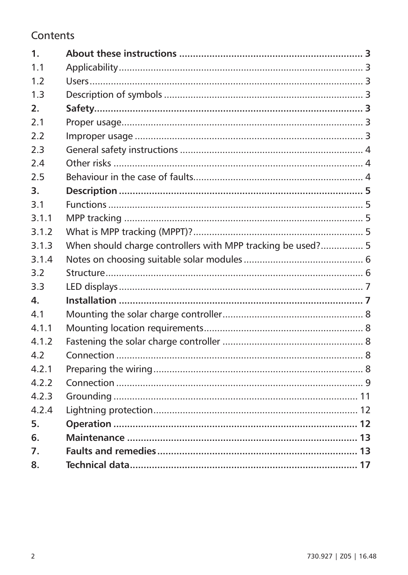#### Contents

| 1 <sub>1</sub> |                                                             |  |
|----------------|-------------------------------------------------------------|--|
| 1 <sub>1</sub> |                                                             |  |
| 1 <sub>2</sub> |                                                             |  |
| 1 <sup>3</sup> |                                                             |  |
| 2.             |                                                             |  |
| 21             |                                                             |  |
| 2.2            |                                                             |  |
| 2.3            |                                                             |  |
| 2.4            |                                                             |  |
| 2.5            |                                                             |  |
| 3.             |                                                             |  |
| 31             |                                                             |  |
| 311            |                                                             |  |
| 312            |                                                             |  |
| 3.1.3          | When should charge controllers with MPP tracking be used? 5 |  |
| 3.1.4          |                                                             |  |
| 3.2            |                                                             |  |
| 3.3            |                                                             |  |
| 4.             |                                                             |  |
| 41             |                                                             |  |
| 4.1.1          |                                                             |  |
| 4.1.2          |                                                             |  |
| 47             |                                                             |  |
| 4 2 1          |                                                             |  |
| 4.2.2          |                                                             |  |
| 423            |                                                             |  |
| 424            |                                                             |  |
| 5.             |                                                             |  |
| 6.             |                                                             |  |
| 7.             |                                                             |  |
| 8.             |                                                             |  |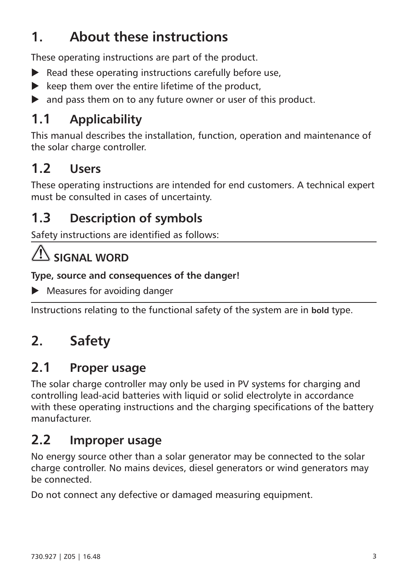# <span id="page-2-0"></span>**1. About these instructions**

These operating instructions are part of the product.

- $\blacktriangleright$  Read these operating instructions carefully before use,
- $\blacktriangleright$  keep them over the entire lifetime of the product.
- $\blacktriangleright$  and pass them on to any future owner or user of this product.

## **1.1 Applicability**

This manual describes the installation, function, operation and maintenance of the solar charge controller.

## **1.2 Users**

These operating instructions are intended for end customers. A technical expert must be consulted in cases of uncertainty.

## **1.3 Description of symbols**

Safety instructions are identified as follows:

# **SIGNAL WORD**

**Type, source and consequences of the danger!**

 $\blacktriangleright$  Measures for avoiding danger

Instructions relating to the functional safety of the system are in **bold** type.

# **2. Safety**

### **2.1 Proper usage**

The solar charge controller may only be used in PV systems for charging and controlling lead-acid batteries with liquid or solid electrolyte in accordance with these operating instructions and the charging specifications of the battery manufacturer.

### **2.2 Improper usage**

No energy source other than a solar generator may be connected to the solar charge controller. No mains devices, diesel generators or wind generators may be connected.

Do not connect any defective or damaged measuring equipment.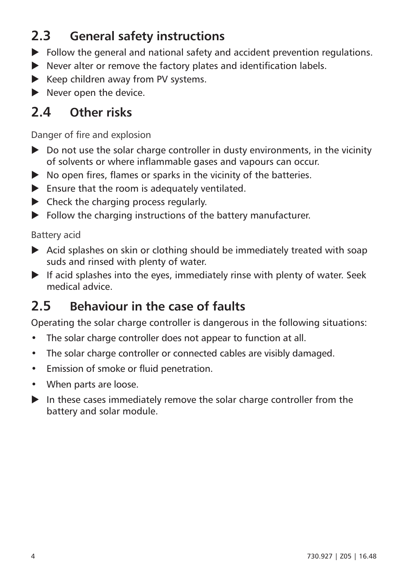## <span id="page-3-0"></span>**2.3 General safety instructions**

- $\blacktriangleright$  Follow the general and national safety and accident prevention regulations.
- $\blacktriangleright$  Never alter or remove the factory plates and identification labels.
- $\blacktriangleright$  Keep children away from PV systems.
- $\blacktriangleright$  Never open the device.

## **2.4 Other risks**

Danger of fire and explosion

- $\triangleright$  Do not use the solar charge controller in dusty environments, in the vicinity of solvents or where inflammable gases and vapours can occur.
- $\blacktriangleright$  No open fires, flames or sparks in the vicinity of the batteries.
- $\blacktriangleright$  Ensure that the room is adequately ventilated.
- $\blacktriangleright$  Check the charging process regularly.
- $\blacktriangleright$  Follow the charging instructions of the battery manufacturer.

#### Battery acid

- $\blacktriangleright$  Acid splashes on skin or clothing should be immediately treated with soap suds and rinsed with plenty of water.
- $\blacktriangleright$  If acid splashes into the eyes, immediately rinse with plenty of water. Seek medical advice.

### **2.5 Behaviour in the case of faults**

Operating the solar charge controller is dangerous in the following situations:

- The solar charge controller does not appear to function at all.
- The solar charge controller or connected cables are visibly damaged.
- Emission of smoke or fluid penetration.
- When parts are loose.
- $\blacktriangleright$  In these cases immediately remove the solar charge controller from the battery and solar module.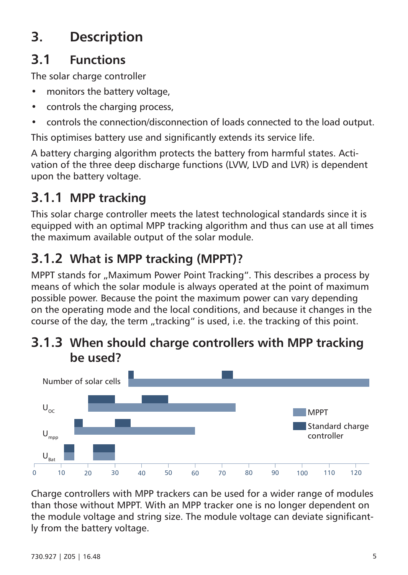# <span id="page-4-0"></span>**3. Description**

## **3.1 Functions**

The solar charge controller

- monitors the battery voltage
- controls the charging process
- controls the connection/disconnection of loads connected to the load output.

This optimises battery use and significantly extends its service life.

A battery charging algorithm protects the battery from harmful states. Activation of the three deep discharge functions (LVW, LVD and LVR) is dependent upon the battery voltage.

# **3.1.1 MPP tracking**

This solar charge controller meets the latest technological standards since it is equipped with an optimal MPP tracking algorithm and thus can use at all times the maximum available output of the solar module.

# **3.1.2 What is MPP tracking (MPPT)?**

MPPT stands for "Maximum Power Point Tracking". This describes a process by means of which the solar module is always operated at the point of maximum possible power. Because the point the maximum power can vary depending on the operating mode and the local conditions, and because it changes in the course of the day, the term "tracking" is used, i.e. the tracking of this point.

#### **3.1.3 When should charge controllers with MPP tracking be used?**



Charge controllers with MPP trackers can be used for a wider range of modules than those without MPPT. With an MPP tracker one is no longer dependent on the module voltage and string size. The module voltage can deviate significantly from the battery voltage.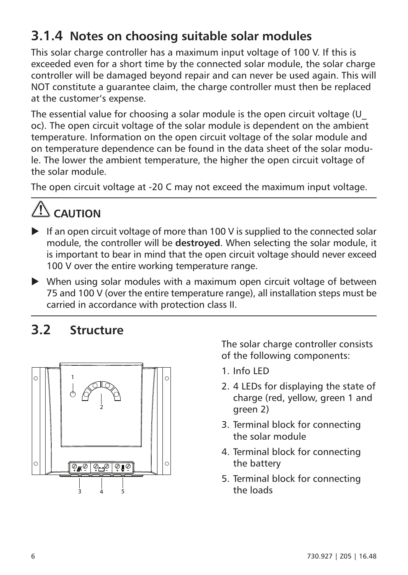## <span id="page-5-0"></span>**3.1.4 Notes on choosing suitable solar modules**

This solar charge controller has a maximum input voltage of 100 V. If this is exceeded even for a short time by the connected solar module, the solar charge controller will be damaged beyond repair and can never be used again. This will NOT constitute a guarantee claim, the charge controller must then be replaced at the customer's expense.

The essential value for choosing a solar module is the open circuit voltage (U\_ oc). The open circuit voltage of the solar module is dependent on the ambient temperature. Information on the open circuit voltage of the solar module and on temperature dependence can be found in the data sheet of the solar module. The lower the ambient temperature, the higher the open circuit voltage of the solar module.

The open circuit voltage at -20 C may not exceed the maximum input voltage.

# $\Lambda$  caution

- $\blacktriangleright$  If an open circuit voltage of more than 100 V is supplied to the connected solar module, the controller will be **destroyed**. When selecting the solar module, it is important to bear in mind that the open circuit voltage should never exceed 100 V over the entire working temperature range.
- $\blacktriangleright$  When using solar modules with a maximum open circuit voltage of between 75 and 100 V (over the entire temperature range), all installation steps must be carried in accordance with protection class II.

### **3.2 Structure**



The solar charge controller consists of the following components:

- 1. Info LED
- 2. 4 LEDs for displaying the state of charge (red, yellow, green 1 and green 2)
- 3. Terminal block for connecting the solar module
- 4. Terminal block for connecting the battery
- 5. Terminal block for connecting the loads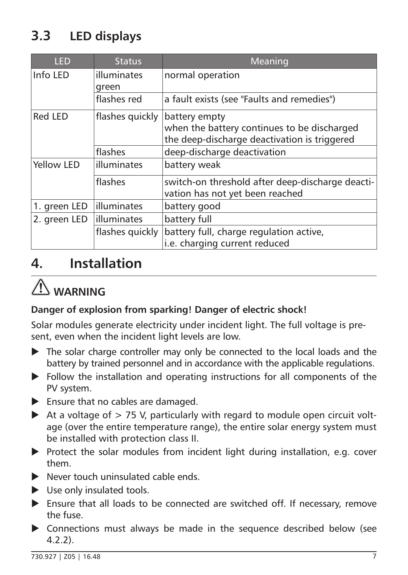# <span id="page-6-0"></span>**3.3 LED displays**

| <b>LED</b>   | <b>Status</b>   | Meaning                                                                                                      |  |  |
|--------------|-----------------|--------------------------------------------------------------------------------------------------------------|--|--|
| Info LED     | illuminates     | normal operation                                                                                             |  |  |
|              | green           |                                                                                                              |  |  |
|              | flashes red     | a fault exists (see "Faults and remedies")                                                                   |  |  |
| Red LED      | flashes quickly | battery empty<br>when the battery continues to be discharged<br>the deep-discharge deactivation is triggered |  |  |
|              | flashes         | deep-discharge deactivation                                                                                  |  |  |
| Yellow LED   | illuminates     | battery weak                                                                                                 |  |  |
|              | flashes         | switch-on threshold after deep-discharge deacti-<br>vation has not yet been reached                          |  |  |
| 1. green LED | illuminates     | battery good                                                                                                 |  |  |
| 2. green LED | lilluminates    | battery full                                                                                                 |  |  |
|              | flashes quickly | battery full, charge regulation active,                                                                      |  |  |
|              |                 | i.e. charging current reduced                                                                                |  |  |

## **4. Installation**

# **WARNING**

#### **Danger of explosion from sparking! Danger of electric shock!**

Solar modules generate electricity under incident light. The full voltage is present, even when the incident light levels are low.

- $\blacktriangleright$  The solar charge controller may only be connected to the local loads and the battery by trained personnel and in accordance with the applicable regulations.
- $\blacktriangleright$  Follow the installation and operating instructions for all components of the PV system.
- $\blacktriangleright$  Ensure that no cables are damaged.
- $\blacktriangleright$  At a voltage of  $> 75$  V, particularly with regard to module open circuit voltage (over the entire temperature range), the entire solar energy system must be installed with protection class II.
- $\triangleright$  Protect the solar modules from incident light during installation, e.g. cover them.
- $\blacktriangleright$  Never touch uninsulated cable ends.
- $\blacktriangleright$  Use only insulated tools.
- $\blacktriangleright$  Ensure that all loads to be connected are switched off. If necessary, remove the fuse.
- $\triangleright$  Connections must always be made in the sequence described below (see 4.2.2).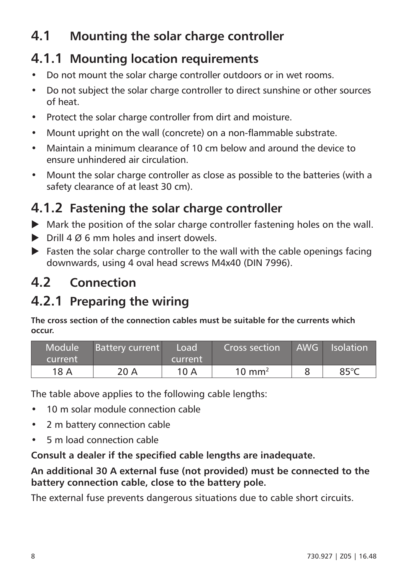## <span id="page-7-0"></span>**4.1 Mounting the solar charge controller**

### **4.1.1 Mounting location requirements**

- Do not mount the solar charge controller outdoors or in wet rooms.
- Do not subject the solar charge controller to direct sunshine or other sources of heat.
- Protect the solar charge controller from dirt and moisture.
- Mount upright on the wall (concrete) on a non-flammable substrate.
- Maintain a minimum clearance of 10 cm below and around the device to ensure unhindered air circulation.
- Mount the solar charge controller as close as possible to the batteries (with a safety clearance of at least 30 cm).

### **4.1.2 Fastening the solar charge controller**

- $\blacktriangleright$  Mark the position of the solar charge controller fastening holes on the wall.
- $\triangleright$  Drill 4 Ø 6 mm holes and insert dowels.
- $\blacktriangleright$  Fasten the solar charge controller to the wall with the cable openings facing downwards, using 4 oval head screws M4x40 (DIN 7996).

### **4.2 Connection**

## **4.2.1 Preparing the wiring**

**The cross section of the connection cables must be suitable for the currents which occur.**

| Module <sup>1</sup><br>current | <b>Battery current</b> | Load<br>current | Cross section     | AWG Isolation |
|--------------------------------|------------------------|-----------------|-------------------|---------------|
| 18 A                           | 20 A                   | 10A             | $10 \text{ mm}^2$ | 85°C          |

The table above applies to the following cable lengths:

- 10 m solar module connection cable
- 2 m battery connection cable
- 5 m load connection cable

**Consult a dealer if the specified cable lengths are inadequate.**

**An additional 30 A external fuse (not provided) must be connected to the battery connection cable, close to the battery pole.**

The external fuse prevents dangerous situations due to cable short circuits.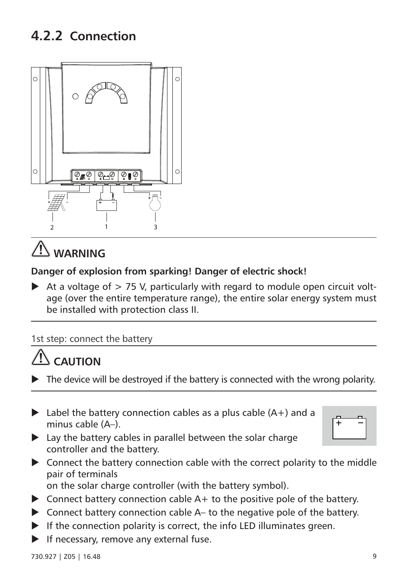### <span id="page-8-0"></span>**4.2.2 Connection**



# **WARNING**

#### **Danger of explosion from sparking! Danger of electric shock!**

 $\blacktriangleright$  At a voltage of  $> 75$  V, particularly with regard to module open circuit voltage (over the entire temperature range), the entire solar energy system must be installed with protection class II.

1st step: connect the battery

# **CAUTION**

- The device will be destroyed if the battery is connected with the wrong polarity.
- $\blacktriangleright$  Label the battery connection cables as a plus cable (A+) and a minus cable (A–).



- $\blacktriangleright$  Lay the battery cables in parallel between the solar charge controller and the battery.
- $\triangleright$  Connect the battery connection cable with the correct polarity to the middle pair of terminals on the solar charge controller (with the battery symbol).
- $\triangleright$  Connect battery connection cable A+ to the positive pole of the battery.
- $\triangleright$  Connect battery connection cable A– to the negative pole of the battery.
- $\blacktriangleright$  If the connection polarity is correct, the info LED illuminates green.
- If necessary, remove any external fuse.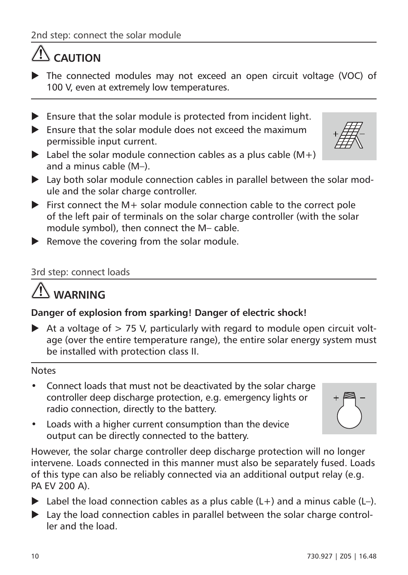# **CAUTION**

- $\triangleright$  The connected modules may not exceed an open circuit voltage (VOC) of 100 V, even at extremely low temperatures.
- $\blacktriangleright$  Ensure that the solar module is protected from incident light.
- $\blacktriangleright$  Ensure that the solar module does not exceed the maximum permissible input current.
- $\blacktriangleright$  Label the solar module connection cables as a plus cable (M+) and a minus cable (M–).
- $\blacktriangleright$  Lay both solar module connection cables in parallel between the solar module and the solar charge controller.
- $\blacktriangleright$  First connect the M+ solar module connection cable to the correct pole of the left pair of terminals on the solar charge controller (with the solar module symbol), then connect the M– cable.
- $\blacktriangleright$  Remove the covering from the solar module.

#### 3rd step: connect loads

# **WARNING**

#### **Danger of explosion from sparking! Danger of electric shock!**

 $\blacktriangleright$  At a voltage of  $> 75$  V, particularly with regard to module open circuit voltage (over the entire temperature range), the entire solar energy system must be installed with protection class II.

#### Notes

• Connect loads that must not be deactivated by the solar charge controller deep discharge protection, e.g. emergency lights or radio connection, directly to the battery.

Loads with a higher current consumption than the device output can be directly connected to the battery.

- However, the solar charge controller deep discharge protection will no longer intervene. Loads connected in this manner must also be separately fused. Loads of this type can also be reliably connected via an additional output relay (e.g. PA EV 200 A).
- $\blacktriangleright$  Label the load connection cables as a plus cable (L+) and a minus cable (L-).
- $\blacktriangleright$  Lay the load connection cables in parallel between the solar charge controller and the load.



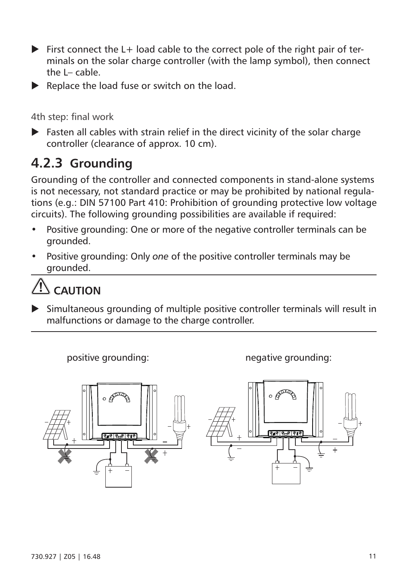- <span id="page-10-0"></span> $\blacktriangleright$  First connect the L + load cable to the correct pole of the right pair of terminals on the solar charge controller (with the lamp symbol), then connect the  $I-$  cable.
- $\blacktriangleright$  Replace the load fuse or switch on the load.

4th step: final work

 $\blacktriangleright$  Fasten all cables with strain relief in the direct vicinity of the solar charge controller (clearance of approx. 10 cm).

### **4.2.3 Grounding**

Grounding of the controller and connected components in stand-alone systems is not necessary, not standard practice or may be prohibited by national regulations (e.g.: DIN 57100 Part 410: Prohibition of grounding protective low voltage circuits). The following grounding possibilities are available if required:

- Positive grounding: One or more of the negative controller terminals can be grounded.
- Positive grounding: Only *one* of the positive controller terminals may be grounded.



 $\blacktriangleright$  Simultaneous grounding of multiple positive controller terminals will result in malfunctions or damage to the charge controller.

positive grounding: negative grounding:

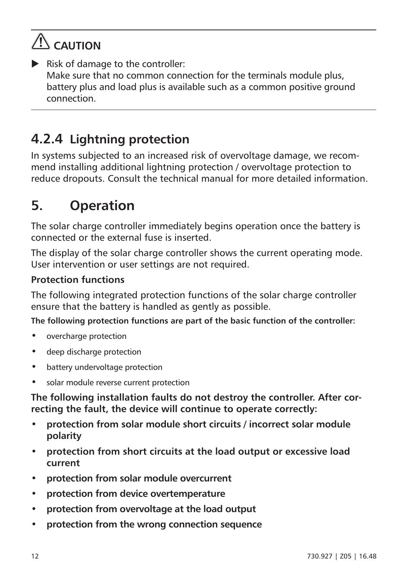# <span id="page-11-0"></span>**AUTION**

 $\blacktriangleright$  Risk of damage to the controller: Make sure that no common connection for the terminals module plus, battery plus and load plus is available such as a common positive ground connection.

## **4.2.4 Lightning protection**

In systems subjected to an increased risk of overvoltage damage, we recommend installing additional lightning protection / overvoltage protection to reduce dropouts. Consult the technical manual for more detailed information.

# **5. Operation**

The solar charge controller immediately begins operation once the battery is connected or the external fuse is inserted.

The display of the solar charge controller shows the current operating mode. User intervention or user settings are not required.

#### **Protection functions**

The following integrated protection functions of the solar charge controller ensure that the battery is handled as gently as possible.

**The following protection functions are part of the basic function of the controller:**

- overcharge protection
- deep discharge protection
- battery undervoltage protection
- solar module reverse current protection

**The following installation faults do not destroy the controller. After correcting the fault, the device will continue to operate correctly:**

- **protection from solar module short circuits / incorrect solar module polarity**
- **protection from short circuits at the load output or excessive load current**
- **protection from solar module overcurrent**
- **protection from device overtemperature**
- **protection from overvoltage at the load output**
- **protection from the wrong connection sequence**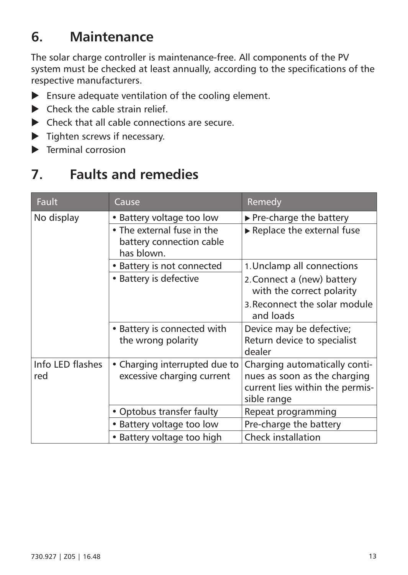### <span id="page-12-0"></span>**6. Maintenance**

The solar charge controller is maintenance-free. All components of the PV system must be checked at least annually, according to the specifications of the respective manufacturers.

- $\blacktriangleright$  Ensure adequate ventilation of the cooling element.
- $\blacktriangleright$  Check the cable strain relief
- $\blacktriangleright$  Check that all cable connections are secure.
- $\blacktriangleright$  Tighten screws if necessary.
- $\blacktriangleright$  Terminal corrosion

# **7. Faults and remedies**

| <b>Fault</b>            | Cause                                                                | Remedy                                                                                                          |  |
|-------------------------|----------------------------------------------------------------------|-----------------------------------------------------------------------------------------------------------------|--|
| No display              | • Battery voltage too low                                            | $\triangleright$ Pre-charge the battery                                                                         |  |
|                         | • The external fuse in the<br>battery connection cable<br>has blown. | Replace the external fuse                                                                                       |  |
|                         | • Battery is not connected                                           | 1. Unclamp all connections                                                                                      |  |
|                         | • Battery is defective                                               | 2. Connect a (new) battery<br>with the correct polarity                                                         |  |
|                         |                                                                      | 3. Reconnect the solar module<br>and loads                                                                      |  |
|                         | • Battery is connected with<br>the wrong polarity                    | Device may be defective;<br>Return device to specialist<br>dealer                                               |  |
| Info LED flashes<br>red | • Charging interrupted due to<br>excessive charging current          | Charging automatically conti-<br>nues as soon as the charging<br>current lies within the permis-<br>sible range |  |
|                         | • Optobus transfer faulty                                            | Repeat programming                                                                                              |  |
|                         | • Battery voltage too low                                            | Pre-charge the battery                                                                                          |  |
|                         | • Battery voltage too high                                           | Check installation                                                                                              |  |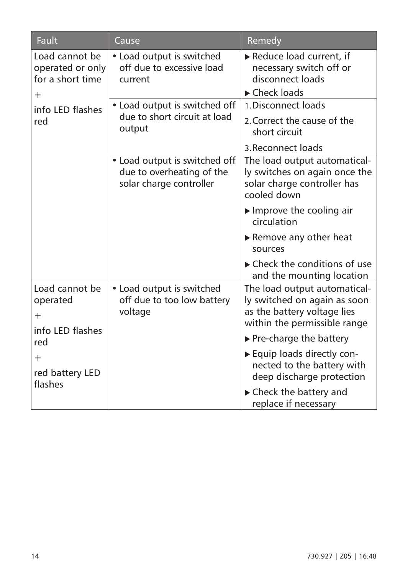| Fault                                                            | Cause                                                                                 | Remedy                                                                                                                      |  |
|------------------------------------------------------------------|---------------------------------------------------------------------------------------|-----------------------------------------------------------------------------------------------------------------------------|--|
| Load cannot be<br>operated or only<br>for a short time<br>$^{+}$ | • Load output is switched<br>off due to excessive load<br>current                     | Reduce load current, if<br>necessary switch off or<br>disconnect loads<br>► Check loads                                     |  |
| info LED flashes<br>red                                          | • Load output is switched off<br>due to short circuit at load<br>output               | 1 Disconnect loads<br>2. Correct the cause of the<br>short circuit<br>3. Reconnect loads                                    |  |
|                                                                  | • Load output is switched off<br>due to overheating of the<br>solar charge controller | The load output automatical-<br>ly switches on again once the<br>solar charge controller has<br>cooled down                 |  |
|                                                                  |                                                                                       | $\blacktriangleright$ Improve the cooling air<br>circulation                                                                |  |
|                                                                  |                                                                                       | $\triangleright$ Remove any other heat<br>sources                                                                           |  |
|                                                                  |                                                                                       | $\blacktriangleright$ Check the conditions of use<br>and the mounting location                                              |  |
| Load cannot be<br>operated<br>$+$<br>info LED flashes            | • Load output is switched<br>off due to too low battery<br>voltage                    | The load output automatical-<br>ly switched on again as soon<br>as the battery voltage lies<br>within the permissible range |  |
| red                                                              |                                                                                       | ▶ Pre-charge the battery                                                                                                    |  |
| $^{+}$<br>red battery LED<br>flashes                             |                                                                                       | Equip loads directly con-<br>nected to the battery with<br>deep discharge protection                                        |  |
|                                                                  |                                                                                       | $\blacktriangleright$ Check the battery and<br>replace if necessary                                                         |  |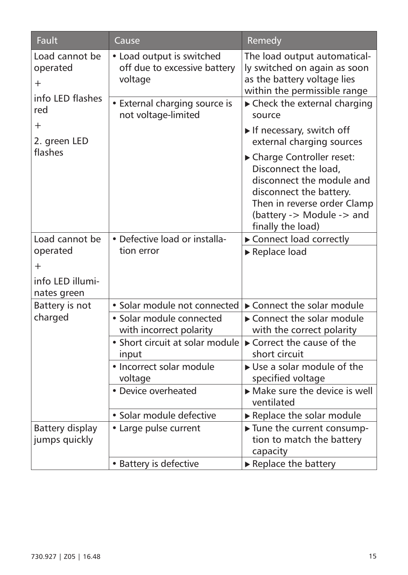| Fault                                                 | Cause                                                                | Remedy                                                                                                                                                                                    |  |
|-------------------------------------------------------|----------------------------------------------------------------------|-------------------------------------------------------------------------------------------------------------------------------------------------------------------------------------------|--|
| Load cannot be<br>operated<br>$+$<br>info LED flashes | • Load output is switched<br>off due to excessive battery<br>voltage | The load output automatical-<br>ly switched on again as soon<br>as the battery voltage lies<br>within the permissible range                                                               |  |
| red                                                   | • External charging source is<br>not voltage-limited                 | ► Check the external charging<br>source                                                                                                                                                   |  |
| $^{+}$<br>2. green LED                                |                                                                      | If necessary, switch off<br>external charging sources                                                                                                                                     |  |
| flashes                                               |                                                                      | Charge Controller reset:<br>Disconnect the load,<br>disconnect the module and<br>disconnect the battery.<br>Then in reverse order Clamp<br>(battery -> Module -> and<br>finally the load) |  |
| Load cannot be                                        | · Defective load or installa-<br>tion error                          | Connect load correctly                                                                                                                                                                    |  |
| operated                                              |                                                                      | Replace load                                                                                                                                                                              |  |
| $\ddot{}$                                             |                                                                      |                                                                                                                                                                                           |  |
| info LED illumi-                                      |                                                                      |                                                                                                                                                                                           |  |
| nates green                                           |                                                                      |                                                                                                                                                                                           |  |
| Battery is not                                        | · Solar module not connected                                         | Connect the solar module<br>Connect the solar module<br>with the correct polarity<br>Correct the cause of the<br>short circuit<br>► Use a solar module of the<br>specified voltage        |  |
| charged                                               | · Solar module connected<br>with incorrect polarity                  |                                                                                                                                                                                           |  |
|                                                       | • Short circuit at solar module<br>input                             |                                                                                                                                                                                           |  |
|                                                       | • Incorrect solar module<br>voltage                                  |                                                                                                                                                                                           |  |
|                                                       | • Device overheated                                                  | Make sure the device is well<br>ventilated                                                                                                                                                |  |
|                                                       | · Solar module defective                                             | Replace the solar module                                                                                                                                                                  |  |
| Battery display<br>jumps quickly                      | • Large pulse current                                                | Tune the current consump-<br>tion to match the battery<br>capacity                                                                                                                        |  |
|                                                       | • Battery is defective                                               | Replace the battery                                                                                                                                                                       |  |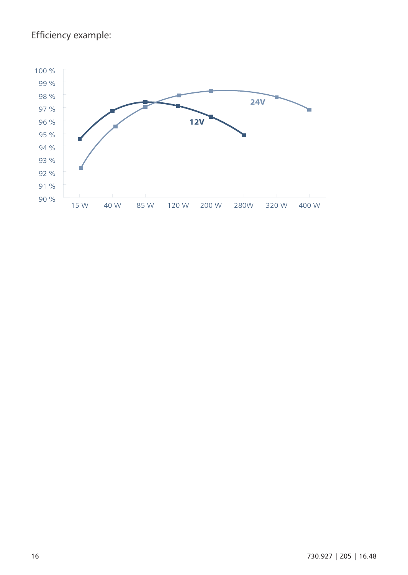#### Efficiency example:

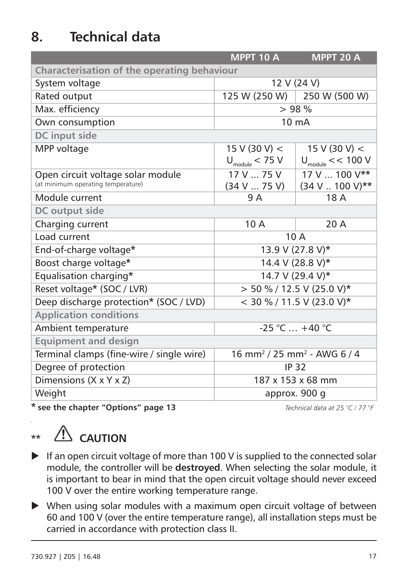# <span id="page-16-0"></span>**8. Technical data**

|                                             | <b>MPPT 10 A</b>                                   | <b>MPPT 20 A</b>              |  |
|---------------------------------------------|----------------------------------------------------|-------------------------------|--|
| Characterisation of the operating behaviour |                                                    |                               |  |
| System voltage                              | 12 V (24 V)                                        |                               |  |
| Rated output                                |                                                    | 125 W (250 W) 250 W (500 W)   |  |
| Max. efficiency                             | > 98%                                              |                               |  |
| Own consumption                             | $10 \text{ mA}$                                    |                               |  |
| DC input side                               |                                                    |                               |  |
| MPP voltage                                 | 15 V (30 V) $<$                                    | 15 V (30 V) $<$               |  |
|                                             | $U_{\text{module}} < 75 V$                         | $U_{\text{module}} \ll 100$ V |  |
| Open circuit voltage solar module           | 17 V  75 V                                         | 17 V  100 V**                 |  |
| (at minimum operating temperature)          | (34 V  75 V)                                       | (34 V  100 V)**               |  |
| Module current                              | 9 A                                                | 18 A                          |  |
| DC output side                              |                                                    |                               |  |
| Charging current                            | 10 A                                               | 20 A                          |  |
| Load current                                | 10 A                                               |                               |  |
| End-of-charge voltage*                      | 13.9 V (27.8 V)*                                   |                               |  |
| Boost charge voltage*                       | 14.4 V (28.8 V)*                                   |                               |  |
| Equalisation charging*                      | 14.7 V (29.4 V)*                                   |                               |  |
| Reset voltage* (SOC / LVR)                  | $>$ 50 % / 12.5 V (25.0 V)*                        |                               |  |
| Deep discharge protection* (SOC / LVD)      | $<$ 30 % / 11.5 V (23.0 V)*                        |                               |  |
| <b>Application conditions</b>               |                                                    |                               |  |
| Ambient temperature                         | $-25$ °C $ + 40$ °C                                |                               |  |
| <b>Equipment and design</b>                 |                                                    |                               |  |
| Terminal clamps (fine-wire / single wire)   | $16 \text{ mm}^2$ / 25 mm <sup>2</sup> - AWG 6 / 4 |                               |  |
| Degree of protection                        | IP 32                                              |                               |  |
| Dimensions (X x Y x Z)                      | 187 x 153 x 68 mm                                  |                               |  |
| Weight                                      | approx. 900 g                                      |                               |  |

\* **see the chapter "Options" page 13** *Technical data at 25 °C / 77 °F*

# \*\* **CAUTION**

- $\blacktriangleright$  If an open circuit voltage of more than 100 V is supplied to the connected solar module, the controller will be **destroyed**. When selecting the solar module, it is important to bear in mind that the open circuit voltage should never exceed 100 V over the entire working temperature range.
- $\blacktriangleright$  When using solar modules with a maximum open circuit voltage of between 60 and 100 V (over the entire temperature range), all installation steps must be carried in accordance with protection class II.